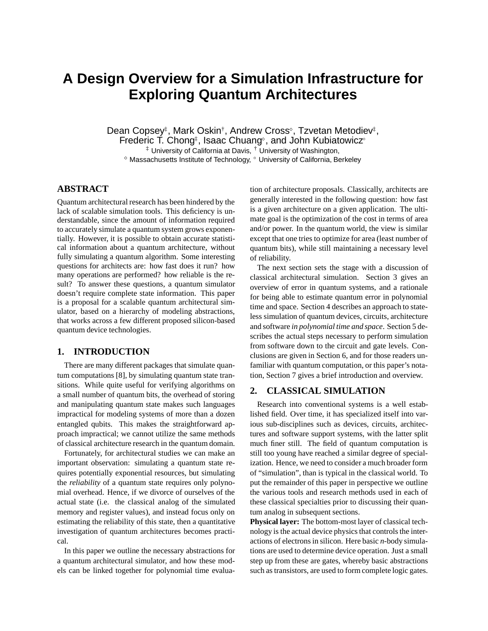# **A Design Overview for a Simulation Infrastructure for Exploring Quantum Architectures**

Dean Copsey‡, Mark Oskin†, Andrew Cross , Tzvetan Metodiev‡, Frederic T. Chong‡, Isaac Chuang°, and John Kubiatowicz°  $\ddagger$  University of California at Davis,  $\ddagger$  University of Washington,

 $^\diamond$  Massachusetts Institute of Technology,  $^\circ$  University of California, Berkeley

## **ABSTRACT**

Quantum architectural research has been hindered by the lack of scalable simulation tools. This deficiency is understandable, since the amount of information required to accurately simulate a quantum system grows exponentially. However, it is possible to obtain accurate statistical information about a quantum architecture, without fully simulating a quantum algorithm. Some interesting questions for architects are: how fast does it run? how many operations are performed? how reliable is the result? To answer these questions, a quantum simulator doesn't require complete state information. This paper is a proposal for a scalable quantum architectural simulator, based on a hierarchy of modeling abstractions, that works across a few different proposed silicon-based quantum device technologies.

# **1. INTRODUCTION**

There are many different packages that simulate quantum computations [8], by simulating quantum state transitions. While quite useful for verifying algorithms on a small number of quantum bits, the overhead of storing and manipulating quantum state makes such languages impractical for modeling systems of more than a dozen entangled qubits. This makes the straightforward approach impractical; we cannot utilize the same methods of classical architecture research in the quantum domain.

Fortunately, for architectural studies we can make an important observation: simulating a quantum state requires potentially exponential resources, but simulating the *reliability* of a quantum state requires only polynomial overhead. Hence, if we divorce of ourselves of the actual state (i.e. the classical analog of the simulated memory and register values), and instead focus only on estimating the reliability of this state, then a quantitative investigation of quantum architectures becomes practical.

In this paper we outline the necessary abstractions for a quantum architectural simulator, and how these models can be linked together for polynomial time evaluation of architecture proposals. Classically, architects are generally interested in the following question: how fast is a given architecture on a given application. The ultimate goal is the optimization of the cost in terms of area and/or power. In the quantum world, the view is similar except that one tries to optimize for area (least number of quantum bits), while still maintaining a necessary level of reliability.

The next section sets the stage with a discussion of classical architectural simulation. Section 3 gives an overview of error in quantum systems, and a rationale for being able to estimate quantum error in polynomial time and space. Section 4 describes an approach to stateless simulation of quantum devices, circuits, architecture and software *in polynomial time and space*. Section 5 describes the actual steps necessary to perform simulation from software down to the circuit and gate levels. Conclusions are given in Section 6, and for those readers unfamiliar with quantum computation, or this paper's notation, Section 7 gives a brief introduction and overview.

## **2. CLASSICAL SIMULATION**

Research into conventional systems is a well established field. Over time, it has specialized itself into various sub-disciplines such as devices, circuits, architectures and software support systems, with the latter split much finer still. The field of quantum computation is still too young have reached a similar degree of specialization. Hence, we need to consider a much broader form of "simulation", than is typical in the classical world. To put the remainder of this paper in perspective we outline the various tools and research methods used in each of these classical specialties prior to discussing their quantum analog in subsequent sections.

**Physical layer:** The bottom-most layer of classical technology is the actual device physics that controls the interactions of electrons in silicon. Here basic *n*-body simulations are used to determine device operation. Just a small step up from these are gates, whereby basic abstractions such as transistors, are used to form complete logic gates.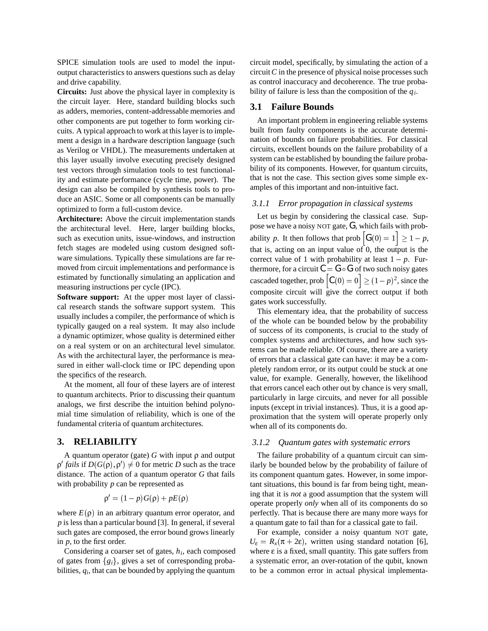SPICE simulation tools are used to model the inputoutput characteristics to answers questions such as delay and drive capability.

**Circuits:** Just above the physical layer in complexity is the circuit layer. Here, standard building blocks such as adders, memories, content-addressable memories and other components are put together to form working circuits. A typical approach to work at this layer is to implement a design in a hardware description language (such as Verilog or VHDL). The measurements undertaken at this layer usually involve executing precisely designed test vectors through simulation tools to test functionality and estimate performance (cycle time, power). The design can also be compiled by synthesis tools to produce an ASIC. Some or all components can be manually optimized to form a full-custom device.

**Architecture:** Above the circuit implementation stands the architectural level. Here, larger building blocks, such as execution units, issue-windows, and instruction fetch stages are modeled using custom designed software simulations. Typically these simulations are far removed from circuit implementations and performance is estimated by functionally simulating an application and measuring instructions per cycle (IPC).

**Software support:** At the upper most layer of classical research stands the software support system. This usually includes a compiler, the performance of which is typically gauged on a real system. It may also include a dynamic optimizer, whose quality is determined either on a real system or on an architectural level simulator. As with the architectural layer, the performance is measured in either wall-clock time or IPC depending upon the specifics of the research.

At the moment, all four of these layers are of interest to quantum architects. Prior to discussing their quantum analogs, we first describe the intuition behind polynomial time simulation of reliability, which is one of the fundamental criteria of quantum architectures.

## **3. RELIABILITY**

A quantum operator (gate) *G* with input ρ and output  $\rho'$  *fails* if  $D(G(\rho), \rho') \neq 0$  for metric *D* such as the trace distance. The action of a quantum operator *G* that fails with probability *p* can be represented as

$$
\rho' = (1 - p)G(\rho) + pE(\rho)
$$

where  $E(\rho)$  in an arbitrary quantum error operator, and *p* is less than a particular bound [3]. In general, if several such gates are composed, the error bound grows linearly in *p*, to the first order.

Considering a coarser set of gates, *hi*, each composed of gates from  ${g_i}$ , gives a set of corresponding probabilities, *qi*, that can be bounded by applying the quantum circuit model, specifically, by simulating the action of a circuit*C* in the presence of physical noise processes such as control inaccuracy and decoherence. The true probability of failure is less than the composition of the *qi*.

#### **3.1 Failure Bounds**

An important problem in engineering reliable systems built from faulty components is the accurate determination of bounds on failure probabilities. For classical circuits, excellent bounds on the failure probability of a system can be established by bounding the failure probability of its components. However, for quantum circuits, that is not the case. This section gives some simple examples of this important and non-intuitive fact.

#### *3.1.1 Error propagation in classical systems*

Let us begin by considering the classical case. Suppose we have a noisy NOT gate, *G*, which fails with probability p. It then follows that prob  $\left| G(0) = 1 \right| \geq 1 - p$ , that is, acting on an input value of  $\overline{0}$ , the output is the correct value of 1 with probability at least  $1 - p$ . Furthermore, for a circuit  $C = G \circ G$  of two such noisy gates cascaded together, prob  $\left[ C(0) = 0 \right] \ge (1 - p)^2$ , since the composite circuit will give the correct output if both gates work successfully.

This elementary idea, that the probability of success of the whole can be bounded below by the probability of success of its components, is crucial to the study of complex systems and architectures, and how such systems can be made reliable. Of course, there are a variety of errors that a classical gate can have: it may be a completely random error, or its output could be stuck at one value, for example. Generally, however, the likelihood that errors cancel each other out by chance is very small, particularly in large circuits, and never for all possible inputs (except in trivial instances). Thus, it is a good approximation that the system will operate properly only when all of its components do.

#### *3.1.2 Quantum gates with systematic errors*

The failure probability of a quantum circuit can similarly be bounded below by the probability of failure of its component quantum gates. However, in some important situations, this bound is far from being tight, meaning that it is *not* a good assumption that the system will operate properly *only* when all of its components do so perfectly. That is because there are many more ways for a quantum gate to fail than for a classical gate to fail.

For example, consider a noisy quantum NOT gate,  $U_{\varepsilon} = R_x(\pi + 2\varepsilon)$ , written using standard notation [6], where  $\varepsilon$  is a fixed, small quantity. This gate suffers from a systematic error, an over-rotation of the qubit, known to be a common error in actual physical implementa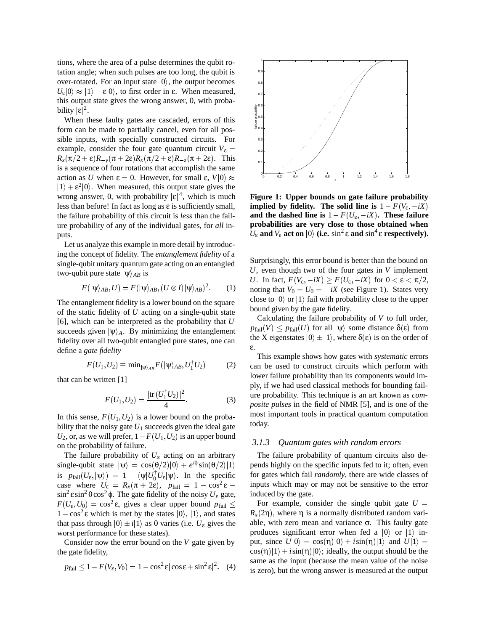tions, where the area of a pulse determines the qubit rotation angle; when such pulses are too long, the qubit is over-rotated. For an input state  $|0\rangle$ , the output becomes  $U_{\varepsilon} |0\rangle \approx |1\rangle - \varepsilon |0\rangle$ , to first order in  $\varepsilon$ . When measured, this output state gives the wrong answer, 0, with probability  $|\varepsilon|^2$ .

When these faulty gates are cascaded, errors of this form can be made to partially cancel, even for all possible inputs, with specially constructed circuits. For example, consider the four gate quantum circuit  $V_{\varepsilon}$  =  $R_x(\pi/2 + \varepsilon)R_{-y}(\pi + 2\varepsilon)R_x(\pi/2 + \varepsilon)R_{-z}(\pi + 2\varepsilon)$ . This is a sequence of four rotations that accomplish the same action as *U* when  $\varepsilon = 0$ . However, for small  $\varepsilon$ ,  $V|0\rangle \approx$  $|1\rangle + \varepsilon^2 |0\rangle$ . When measured, this output state gives the wrong answer, 0, with probability  $|\varepsilon|^4$ , which is much less than before! In fact as long as  $\varepsilon$  is sufficiently small, the failure probability of this circuit is *less* than the failure probability of any of the individual gates, for *all* inputs.

Let us analyze this example in more detail by introducing the concept of fidelity. The *entanglement fidelity* of a single-qubit unitary quantum gate acting on an entangled two-qubit pure state  $|\psi\rangle_{AB}$  is

$$
F(|\psi\rangle_{AB}, U) = F(|\psi\rangle_{AB}, (U \otimes I)|\psi\rangle_{AB})^{2}.
$$
 (1)

The entanglement fidelity is a lower bound on the square of the static fidelity of *U* acting on a single-qubit state [6], which can be interpreted as the probability that *U* succeeds given  $|\psi\rangle_A$ . By minimizing the entanglement fidelity over all two-qubit entangled pure states, one can define a *gate fidelity*

$$
F(U_1, U_2) \equiv \min_{|\psi\rangle_{AB}} F(|\psi\rangle_{AB}, U_1^\dagger U_2)
$$
 (2)

that can be written [1]

$$
F(U_1, U_2) = \frac{|\text{tr}\,(U_1^\dagger U_2)|^2}{4}.\tag{3}
$$

In this sense,  $F(U_1, U_2)$  is a lower bound on the probability that the noisy gate  $U_1$  succeeds given the ideal gate  $U_2$ , or, as we will prefer,  $1 - F(U_1, U_2)$  is an upper bound on the probability of failure.

The failure probability of  $U_{\varepsilon}$  acting on an arbitrary  $\text{single-qubit state } |\psi\rangle = \cos(\theta/2)|0\rangle + e^{i\phi}\sin(\theta/2)|1\rangle$  pe is  $p_{\text{fail}}(U_{\varepsilon}, |\psi\rangle) = 1 - \langle \psi | U_0^{\dagger} U_{\varepsilon} | \psi \rangle$ . In the specific case where  $U_{\varepsilon} = R_x(\pi + 2\varepsilon)$ ,  $p_{\text{fail}} = 1 - \cos^2 \varepsilon$  inputs wh sin<sup>2</sup> εsin<sup>2</sup> θcos<sup>2</sup> φ. The gate fidelity of the noisy  $U_{\varepsilon}$  gate,  $F(U_{\varepsilon}, U_0) = \cos^2 \varepsilon$ , gives a clear upper bound  $p_{\text{fail}} \leq$  For example  $1 - \cos^2 \varepsilon$  which is met by the states  $|0\rangle$ ,  $|1\rangle$ , and states that pass through  $|0\rangle \pm i|1\rangle$  as  $\theta$  varies (i.e.  $U_{\varepsilon}$  gives the worst performance for these states).

Consider now the error bound on the *V* gate given by the gate fidelity,

$$
p_{\text{fail}} \le 1 - F(V_{\varepsilon}, V_0) = 1 - \cos^2 \varepsilon |\cos \varepsilon + \sin^2 \varepsilon|^2. \quad (4)
$$



**Figure 1: Upper bounds on gate failure probability implied by fidelity. The solid line is**  $1 - F(V_{\varepsilon}, -iX)$ **and the dashed line is**  $1 - F(U_{\varepsilon}, -iX)$ . These failure **probabilities are very close to those obtained when**  $U_{\varepsilon}$  and  $V_{\varepsilon}$  act on  $|0\rangle$  (i.e. sin<sup>2</sup>  $\varepsilon$  and sin<sup>4</sup>  $\varepsilon$  respectively).

Surprisingly, this error bound is better than the bound on *U*, even though two of the four gates in *V* implement *U*. In fact,  $F(V_{\varepsilon}, -iX) \ge F(U_{\varepsilon}, -iX)$  for  $0 < \varepsilon < \pi/2$ , noting that  $V_0 = U_0 = -iX$  (see Figure 1). States very close to  $|0\rangle$  or  $|1\rangle$  fail with probability close to the upper bound given by the gate fidelity.

Calculating the failure probability of *V* to full order,  $p_{\text{fail}}(V) \leq p_{\text{fail}}(U)$  for all  $|\psi\rangle$  some distance  $\delta(\varepsilon)$  from the X eigenstates  $|0\rangle \pm |1\rangle$ , where  $\delta(\varepsilon)$  is on the order of ε.

This example shows how gates with *systematic* errors can be used to construct circuits which perform with lower failure probability than its components would imply, if we had used classical methods for bounding failure probability. This technique is an art known as *composite pulses* in the field of NMR [5], and is one of the most important tools in practical quantum computation today.

## *3.1.3 Quantum gates with random errors*

The failure probability of quantum circuits also depends highly on the specific inputs fed to it; often, even for gates which fail *randomly*, there are wide classes of inputs which may or may not be sensitive to the error induced by the gate.

For example, consider the single qubit gate  $U =$  $R_x(2\eta)$ , where  $\eta$  is a normally distributed random variable, with zero mean and variance  $\sigma$ . This faulty gate produces significant error when fed a  $|0\rangle$  or  $|1\rangle$  input, since  $U|0\rangle = \cos(\eta)|0\rangle + i\sin(\eta)|1\rangle$  and  $U|1\rangle =$  $\cos(\eta)|1\rangle + i\sin(\eta)|0\rangle$ ; ideally, the output should be the same as the input (because the mean value of the noise is zero), but the wrong answer is measured at the output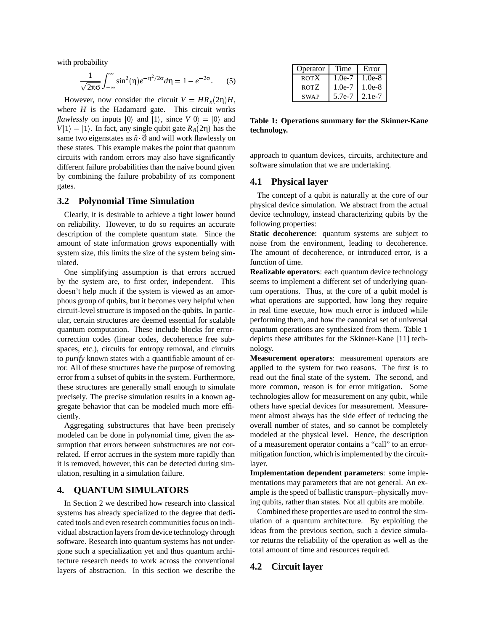with probability

$$
\frac{1}{\sqrt{2\pi\sigma}}\int_{-\infty}^{\infty}\sin^2(\eta)e^{-\eta^2/2\sigma}d\eta = 1 - e^{-2\sigma}.
$$
 (5)

However, now consider the circuit  $V = HR_x(2\eta)H$ , where  $H$  is the Hadamard gate. This circuit works *flawlessly* on inputs  $|0\rangle$  and  $|1\rangle$ , since  $V|0\rangle = |0\rangle$  and **T**  $V|1\rangle = |1\rangle$ . In fact, any single qubit gate  $R_{\hat{n}}(2\eta)$  has the same two eigenstates as  $\hat{n} \cdot \vec{\sigma}$  and will work flawlessly on these states. This example makes the point that quantum circuits with random errors may also have significantly different failure probabilities than the naive bound given by combining the failure probability of its component gates.

## **3.2 Polynomial Time Simulation**

Clearly, it is desirable to achieve a tight lower bound on reliability. However, to do so requires an accurate description of the complete quantum state. Since the amount of state information grows exponentially with system size, this limits the size of the system being simulated.

One simplifying assumption is that errors accrued by the system are, to first order, independent. This doesn't help much if the system is viewed as an amorphous group of qubits, but it becomes very helpful when circuit-level structure is imposed on the qubits. In particular, certain structures are deemed essential for scalable quantum computation. These include blocks for errorcorrection codes (linear codes, decoherence free subspaces, etc.), circuits for entropy removal, and circuits to *purify* known states with a quantifiable amount of error. All of these structures have the purpose of removing error from a subset of qubits in the system. Furthermore, these structures are generally small enough to simulate precisely. The precise simulation results in a known aggregate behavior that can be modeled much more efficiently.

Aggregating substructures that have been precisely modeled can be done in polynomial time, given the assumption that errors between substructures are not correlated. If error accrues in the system more rapidly than it is removed, however, this can be detected during simulation, resulting in a simulation failure.

## **4. QUANTUM SIMULATORS**

In Section 2 we described how research into classical systems has already specialized to the degree that dedicated tools and even research communities focus on individual abstraction layers from device technology through software. Research into quantum systems has not undergone such a specialization yet and thus quantum architecture research needs to work across the conventional layers of abstraction. In this section we describe the

| Operator    | Time     | Error    |
|-------------|----------|----------|
| <b>ROTX</b> | $1.0e-7$ | $1.0e-8$ |
| ROTZ        | $1.0e-7$ | $1.0e-8$ |
| <b>SWAP</b> | 5.7e-7   | 2.1e-7   |

**Table 1: Operations summary for the Skinner-Kane technology.**

approach to quantum devices, circuits, architecture and software simulation that we are undertaking.

## **4.1 Physical layer**

The concept of a qubit is naturally at the core of our physical device simulation. We abstract from the actual device technology, instead characterizing qubits by the following properties:

**Static decoherence**: quantum systems are subject to noise from the environment, leading to decoherence. The amount of decoherence, or introduced error, is a function of time.

**Realizable operators**: each quantum device technology seems to implement a different set of underlying quantum operations. Thus, at the core of a qubit model is what operations are supported, how long they require in real time execute, how much error is induced while performing them, and how the canonical set of universal quantum operations are synthesized from them. Table 1 depicts these attributes for the Skinner-Kane [11] technology.

**Measurement operators**: measurement operators are applied to the system for two reasons. The first is to read out the final state of the system. The second, and more common, reason is for error mitigation. Some technologies allow for measurement on any qubit, while others have special devices for measurement. Measurement almost always has the side effect of reducing the overall number of states, and so cannot be completely modeled at the physical level. Hence, the description of a measurement operator contains a "call" to an errormitigation function, which is implemented by the circuitlayer.

**Implementation dependent parameters**: some implementations may parameters that are not general. An example is the speed of ballistic transport–physically moving qubits, rather than states. Not all qubits are mobile.

Combined these properties are used to control the simulation of a quantum architecture. By exploiting the ideas from the previous section, such a device simulator returns the reliability of the operation as well as the total amount of time and resources required.

#### **4.2 Circuit layer**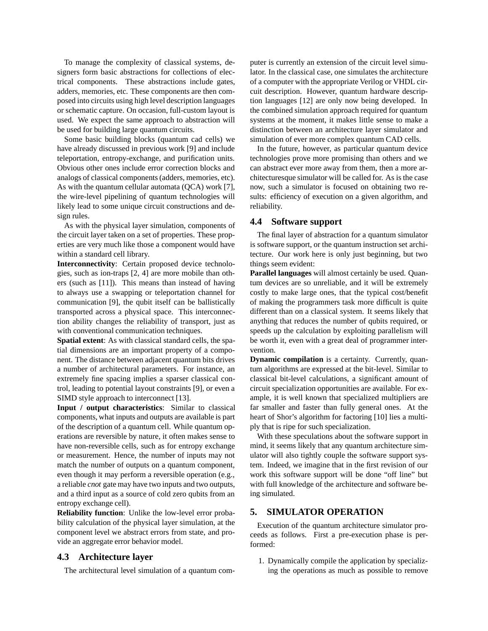To manage the complexity of classical systems, designers form basic abstractions for collections of electrical components. These abstractions include gates, adders, memories, etc. These components are then composed into circuits using high level description languages or schematic capture. On occasion, full-custom layout is used. We expect the same approach to abstraction will be used for building large quantum circuits.

Some basic building blocks (quantum cad cells) we have already discussed in previous work [9] and include teleportation, entropy-exchange, and purification units. Obvious other ones include error correction blocks and analogs of classical components (adders, memories, etc). As with the quantum cellular automata (QCA) work [7], the wire-level pipelining of quantum technologies will likely lead to some unique circuit constructions and design rules.

As with the physical layer simulation, components of the circuit layer taken on a set of properties. These properties are very much like those a component would have within a standard cell library.

**Interconnectivity**: Certain proposed device technologies, such as ion-traps [2, 4] are more mobile than others (such as [11]). This means than instead of having to always use a swapping or teleportation channel for communication [9], the qubit itself can be ballistically transported across a physical space. This interconnection ability changes the reliability of transport, just as with conventional communication techniques.

**Spatial extent**: As with classical standard cells, the spatial dimensions are an important property of a component. The distance between adjacent quantum bits drives a number of architectural parameters. For instance, an extremely fine spacing implies a sparser classical control, leading to potential layout constraints [9], or even a SIMD style approach to interconnect [13].

**Input / output characteristics**: Similar to classical components, what inputs and outputs are available is part of the description of a quantum cell. While quantum operations are reversible by nature, it often makes sense to have non-reversible cells, such as for entropy exchange or measurement. Hence, the number of inputs may not match the number of outputs on a quantum component, even though it may perform a reversible operation (e.g., a reliable *cnot* gate may have two inputs and two outputs, and a third input as a source of cold zero qubits from an entropy exchange cell).

**Reliability function**: Unlike the low-level error probability calculation of the physical layer simulation, at the component level we abstract errors from state, and provide an aggregate error behavior model.

#### **4.3 Architecture layer**

The architectural level simulation of a quantum com-

puter is currently an extension of the circuit level simulator. In the classical case, one simulates the architecture of a computer with the appropriate Verilog or VHDL circuit description. However, quantum hardware description languages [12] are only now being developed. In the combined simulation approach required for quantum systems at the moment, it makes little sense to make a distinction between an architecture layer simulator and simulation of ever more complex quantum CAD cells.

In the future, however, as particular quantum device technologies prove more promising than others and we can abstract ever more away from them, then a more architecturesque simulator will be called for. As is the case now, such a simulator is focused on obtaining two results: efficiency of execution on a given algorithm, and reliability.

#### **4.4 Software support**

The final layer of abstraction for a quantum simulator is software support, or the quantum instruction set architecture. Our work here is only just beginning, but two things seem evident:

**Parallel languages** will almost certainly be used. Quantum devices are so unreliable, and it will be extremely costly to make large ones, that the typical cost/benefit of making the programmers task more difficult is quite different than on a classical system. It seems likely that anything that reduces the number of qubits required, or speeds up the calculation by exploiting parallelism will be worth it, even with a great deal of programmer intervention.

**Dynamic compilation** is a certainty. Currently, quantum algorithms are expressed at the bit-level. Similar to classical bit-level calculations, a significant amount of circuit specialization opportunities are available. For example, it is well known that specialized multipliers are far smaller and faster than fully general ones. At the heart of Shor's algorithm for factoring [10] lies a multiply that is ripe for such specialization.

With these speculations about the software support in mind, it seems likely that any quantum architecture simulator will also tightly couple the software support system. Indeed, we imagine that in the first revision of our work this software support will be done "off line" but with full knowledge of the architecture and software being simulated.

## **5. SIMULATOR OPERATION**

Execution of the quantum architecture simulator proceeds as follows. First a pre-execution phase is performed:

1. Dynamically compile the application by specializing the operations as much as possible to remove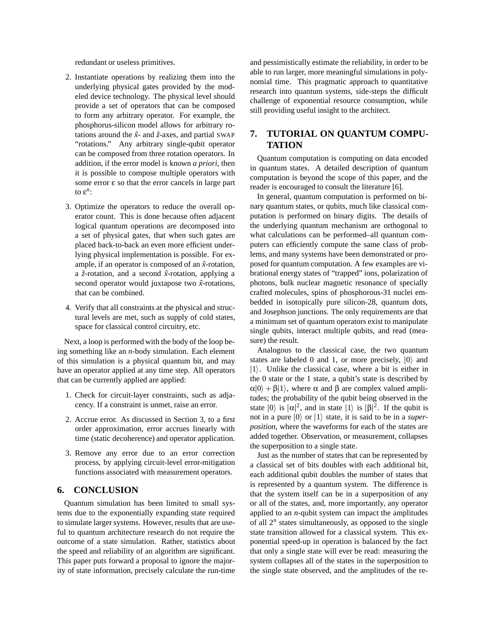redundant or useless primitives.

- 2. Instantiate operations by realizing them into the underlying physical gates provided by the modeled device technology. The physical level should provide a set of operators that can be composed to form any arbitrary operator. For example, the phosphorus-silicon model allows for arbitrary rotations around the  $\hat{x}$ - and  $\hat{z}$ -axes, and partial SWAP "rotations." Any arbitrary single-qubit operator can be composed from three rotation operators. In addition, if the error model is known *a priori*, then it is possible to compose multiple operators with some error ε so that the error cancels in large part to ε*n*:
- 3. Optimize the operators to reduce the overall operator count. This is done because often adjacent logical quantum operations are decomposed into a set of physical gates, that when such gates are placed back-to-back an even more efficient underlying physical implementation is possible. For example, if an operator is composed of an  $\hat{x}$ -rotation, a  $\hat{z}$ -rotation, and a second  $\hat{x}$ -rotation, applying a second operator would juxtapose two  $\hat{x}$ -rotations, that can be combined.
- 4. Verify that all constraints at the physical and structural levels are met, such as supply of cold states, space for classical control circuitry, etc.

Next, a loop is performed with the body of the loop being something like an *n*-body simulation. Each element of this simulation is a physical quantum bit, and may have an operator applied at any time step. All operators that can be currently applied are applied:

- 1. Check for circuit-layer constraints, such as adjacency. If a constraint is unmet, raise an error.
- 2. Accrue error. As discussed in Section 3, to a first order approximation, error accrues linearly with time (static decoherence) and operator application.
- 3. Remove any error due to an error correction process, by applying circuit-level error-mitigation functions associated with measurement operators.

## **6. CONCLUSION**

Quantum simulation has been limited to small systems due to the exponentially expanding state required to simulate larger systems. However, results that are useful to quantum architecture research do not require the outcome of a state simulation. Rather, statistics about the speed and reliability of an algorithm are significant. This paper puts forward a proposal to ignore the majority of state information, precisely calculate the run-time

and pessimistically estimate the reliability, in order to be able to run larger, more meaningful simulations in polynomial time. This pragmatic approach to quantitative research into quantum systems, side-steps the difficult challenge of exponential resource consumption, while still providing useful insight to the architect.

# **7. TUTORIAL ON QUANTUM COMPU-TATION**

Quantum computation is computing on data encoded in quantum states. A detailed description of quantum computation is beyond the scope of this paper, and the reader is encouraged to consult the literature [6].

In general, quantum computation is performed on binary quantum states, or qubits, much like classical computation is performed on binary digits. The details of the underlying quantum mechanism are orthogonal to what calculations can be performed–all quantum computers can efficiently compute the same class of problems, and many systems have been demonstrated or proposed for quantum computation. A few examples are vibrational energy states of "trapped" ions, polarization of photons, bulk nuclear magnetic resonance of specially crafted molecules, spins of phosphorous-31 nuclei embedded in isotopically pure silicon-28, quantum dots, and Josephson junctions. The only requirements are that a minimum set of quantum operators exist to manipulate single qubits, interact multiple qubits, and read (measure) the result.

Analogous to the classical case, the two quantum states are labeled 0 and 1, or more precisely,  $|0\rangle$  and  $|1\rangle$ . Unlike the classical case, where a bit is either in the 0 state or the 1 state, a qubit's state is described by  $\alpha|0\rangle + \beta|1\rangle$ , where  $\alpha$  and  $\beta$  are complex valued amplitudes; the probability of the qubit being observed in the state  $|0\rangle$  is  $|\alpha|^2$ , and in state  $|1\rangle$  is  $|\beta|^2$ . If the qubit is not in a pure  $|0\rangle$  or  $|1\rangle$  state, it is said to be in a *superposition*, where the waveforms for each of the states are added together. Observation, or measurement, collapses the superposition to a single state.

Just as the number of states that can be represented by a classical set of bits doubles with each additional bit, each additional qubit doubles the number of states that is represented by a quantum system. The difference is that the system itself can be in a superposition of any or all of the states, and, more importantly, any operator applied to an *n*-qubit system can impact the amplitudes of all  $2^n$  states simultaneously, as opposed to the single state transition allowed for a classical system. This exponential speed-up in operation is balanced by the fact that only a single state will ever be read: measuring the system collapses all of the states in the superposition to the single state observed, and the amplitudes of the re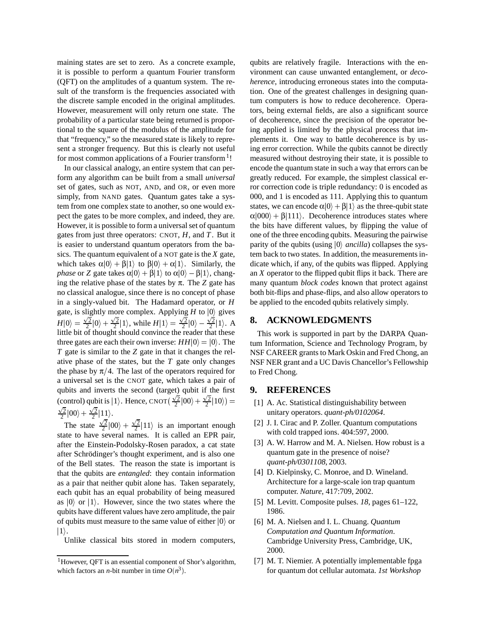maining states are set to zero. As a concrete example, it is possible to perform a quantum Fourier transform (QFT) on the amplitudes of a quantum system. The result of the transform is the frequencies associated with the discrete sample encoded in the original amplitudes. However, measurement will only return one state. The probability of a particular state being returned is proportional to the square of the modulus of the amplitude for that "frequency," so the measured state is likely to represent a stronger frequency. But this is clearly not useful for most common applications of a Fourier transform<sup>1</sup>!

In our classical analogy, an entire system that can perform any algorithm can be built from a small *universal* set of gates, such as NOT, AND, and OR, or even more simply, from NAND gates. Quantum gates take a system from one complex state to another, so one would expect the gates to be more complex, and indeed, they are. However, it is possible to form a universal set of quantum gates from just three operators: CNOT, *H*, and *T*. But it is easier to understand quantum operators from the basics. The quantum equivalent of a NOT gate is the *X* gate, which takes  $\alpha|0\rangle + \beta|1\rangle$  to  $\beta|0\rangle + \alpha|1\rangle$ . Similarly, the *phase* or *Z* gate takes  $\alpha|0\rangle + \beta|1\rangle$  to  $\alpha|0\rangle - \beta|1\rangle$ , changing the relative phase of the states by  $\pi$ . The *Z* gate has no classical analogue, since there is no concept of phase in a singly-valued bit. The Hadamard operator, or *H* gate, is slightly more complex. Applying  $H$  to  $|0\rangle$  gives  $H|0\rangle = \frac{\sqrt{2}}{2}|0\rangle + \frac{\sqrt{2}}{2}|1\rangle$  $\frac{\sqrt{2}}{2}|0\rangle + \frac{\sqrt{2}}{2}|1\rangle$ , while  $H|1\rangle = \frac{\sqrt{2}}{2}|0\rangle - \frac{\sqrt{2}}{2}|1\rangle$  $\frac{\sqrt{2}}{2}|0\rangle - \frac{\sqrt{2}}{2}|1\rangle$ . A little bit of thought should convince the reader that these three gates are each their own inverse:  $HH|0\rangle = |0\rangle$ . The t *T* gate is similar to the *Z* gate in that it changes the relative phase of the states, but the *T* gate only changes the phase by  $\pi/4$ . The last of the operators required for a universal set is the CNOT gate, which takes a pair of qubits and inverts the second (target) qubit if the first (control) qubit is  $|1\rangle$ . Hence, CNOT $(\frac{\sqrt{2}}{2}|00\rangle + \frac{\sqrt{2}}{2}|10\rangle) =$  $\frac{\sqrt{2}}{2} |00\rangle + \frac{\sqrt{2}}{2} |11\rangle.$ 

The state  $\frac{\sqrt{2}}{2} |00\rangle + \frac{\sqrt{2}}{2} |11\rangle$  is an important enough state to have several names. It is called an EPR pair, after the Einstein-Podolsky-Rosen paradox, a cat state after Schrödinger's thought experiment, and is also one of the Bell states. The reason the state is important is that the qubits are *entangled*: they contain information as a pair that neither qubit alone has. Taken separately, each qubit has an equal probability of being measured as  $|0\rangle$  or  $|1\rangle$ . However, since the two states where the qubits have different values have zero amplitude, the pair of qubits must measure to the same value of either  $|0\rangle$  or  $|1\rangle$ .

Unlike classical bits stored in modern computers,

qubits are relatively fragile. Interactions with the environment can cause unwanted entanglement, or *decoherence*, introducing erroneous states into the computation. One of the greatest challenges in designing quantum computers is how to reduce decoherence. Operators, being external fields, are also a significant source of decoherence, since the precision of the operator being applied is limited by the physical process that implements it. One way to battle decoherence is by using error correction. While the qubits cannot be directly measured without destroying their state, it is possible to encode the quantum state in such a way that errors can be greatly reduced. For example, the simplest classical error correction code is triple redundancy: 0 is encoded as 000, and 1 is encoded as 111. Applying this to quantum states, we can encode  $\alpha|0\rangle + \beta|1\rangle$  as the three-qubit state  $\alpha|000\rangle + \beta|111\rangle$ . Decoherence introduces states where the bits have different values, by flipping the value of one of the three encoding qubits. Measuring the pairwise parity of the qubits (using  $|0\rangle$  *ancilla*) collapses the system back to two states. In addition, the measurements indicate which, if any, of the qubits was flipped. Applying an *X* operator to the flipped qubit flips it back. There are many quantum *block codes* known that protect against both bit-flips and phase-flips, and also allow operators to be applied to the encoded qubits relatively simply.

#### **8. ACKNOWLEDGMENTS**

This work is supported in part by the DARPA Quantum Information, Science and Technology Program, by NSF CAREER grants to Mark Oskin and Fred Chong, an NSF NER grant and a UC Davis Chancellor's Fellowship to Fred Chong.

#### **9. REFERENCES**

- [1] A. Ac. Statistical distinguishability between unitary operators. *quant-ph/0102064*.
- [2] J. I. Cirac and P. Zoller. Quantum computations with cold trapped ions. 404:597, 2000.
- [3] A. W. Harrow and M. A. Nielsen. How robust is a quantum gate in the presence of noise? *quant-ph/0301108*, 2003.
- [4] D. Kielpinsky, C. Monroe, and D. Wineland. Architecture for a large-scale ion trap quantum computer. *Nature*, 417:709, 2002.
- [5] M. Levitt. Composite pulses. *18*, pages 61–122, 1986.
- [6] M. A. Nielsen and I. L. Chuang. *Quantum Computation and Quantum Information*. Cambridge University Press, Cambridge, UK, 2000.
- [7] M. T. Niemier. A potentially implementable fpga for quantum dot cellular automata. *1st Workshop*

<sup>&</sup>lt;sup>1</sup>However, QFT is an essential component of Shor's algorithm, which factors an *n*-bit number in time  $O(n^3)$ .